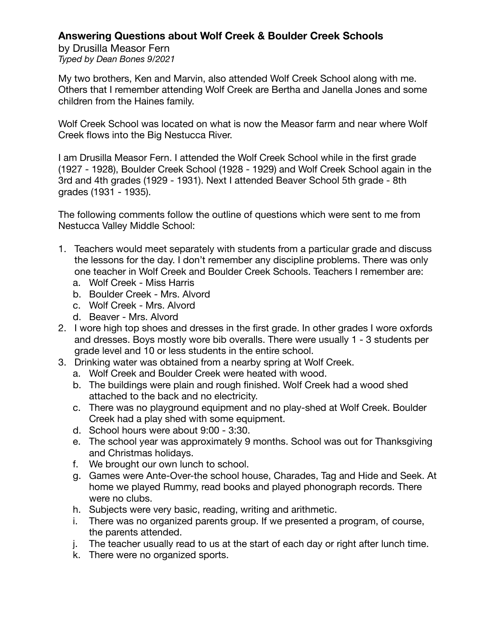## **Answering Questions about Wolf Creek & Boulder Creek Schools**

by Drusilla Measor Fern *Typed by Dean Bones 9/2021*

My two brothers, Ken and Marvin, also attended Wolf Creek School along with me. Others that I remember attending Wolf Creek are Bertha and Janella Jones and some children from the Haines family.

Wolf Creek School was located on what is now the Measor farm and near where Wolf Creek flows into the Big Nestucca River.

I am Drusilla Measor Fern. I attended the Wolf Creek School while in the first grade (1927 - 1928), Boulder Creek School (1928 - 1929) and Wolf Creek School again in the 3rd and 4th grades (1929 - 1931). Next I attended Beaver School 5th grade - 8th grades (1931 - 1935).

The following comments follow the outline of questions which were sent to me from Nestucca Valley Middle School:

- 1. Teachers would meet separately with students from a particular grade and discuss the lessons for the day. I don't remember any discipline problems. There was only one teacher in Wolf Creek and Boulder Creek Schools. Teachers I remember are:
	- a. Wolf Creek Miss Harris
	- b. Boulder Creek Mrs. Alvord
	- c. Wolf Creek Mrs. Alvord
	- d. Beaver Mrs. Alvord
- 2. I wore high top shoes and dresses in the first grade. In other grades I wore oxfords and dresses. Boys mostly wore bib overalls. There were usually 1 - 3 students per grade level and 10 or less students in the entire school.
- 3. Drinking water was obtained from a nearby spring at Wolf Creek.
	- a. Wolf Creek and Boulder Creek were heated with wood.
	- b. The buildings were plain and rough finished. Wolf Creek had a wood shed attached to the back and no electricity.
	- c. There was no playground equipment and no play-shed at Wolf Creek. Boulder Creek had a play shed with some equipment.
	- d. School hours were about 9:00 3:30.
	- e. The school year was approximately 9 months. School was out for Thanksgiving and Christmas holidays.
	- f. We brought our own lunch to school.
	- g. Games were Ante-Over-the school house, Charades, Tag and Hide and Seek. At home we played Rummy, read books and played phonograph records. There were no clubs.
	- h. Subjects were very basic, reading, writing and arithmetic.
	- i. There was no organized parents group. If we presented a program, of course, the parents attended.
	- j. The teacher usually read to us at the start of each day or right after lunch time.
	- k. There were no organized sports.